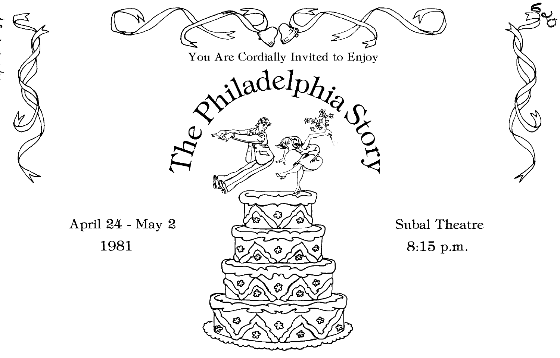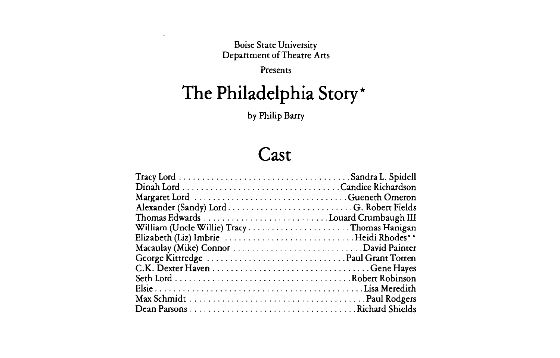Boise State University Department of Theatre Arts

Presents

# **The Philadelphia Story\***

by Philip Barry

### **Cast**

| William (Uncle Willie) TracyThomas Hanigan |  |
|--------------------------------------------|--|
|                                            |  |
|                                            |  |
|                                            |  |
|                                            |  |
|                                            |  |
|                                            |  |
|                                            |  |
|                                            |  |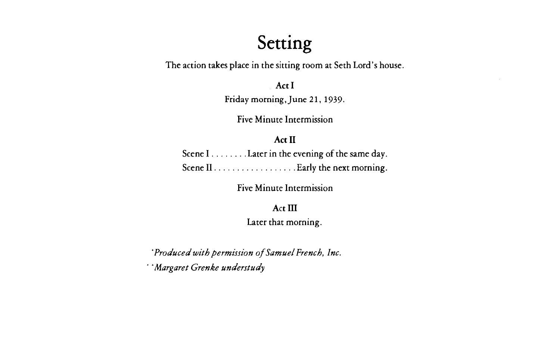## **Setting**

The action takes place in the sitting room at Seth Lord's house.

**Act I** 

Friday morning,June 21, 1939.

Five Minute Intermission

#### **Act II**

Scene I . . . . . . . . . Later in the evening of the same day. Scene II . . . . . . . . . . . . . . . . . . Early the next morning.

Five Minute Intermission

**Act III**  Later that morning.

*·Produced with permission of Samuel French, Inc.*  · *·Margaret Grenke understudy*